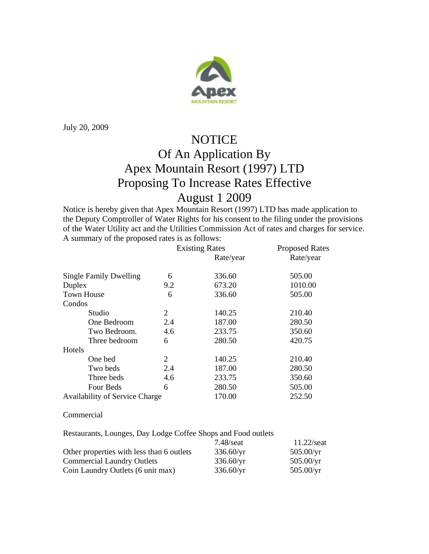

July 20, 2009

## **NOTICE** Of An Application By Apex Mountain Resort (1997) LTD Proposing To Increase Rates Effective August 1 2009

Notice is hereby given that Apex Mountain Resort (1997) LTD has made application to the Deputy Comptroller of Water Rights for his consent to the filing under the provisions of the Water Utility act and the Utilities Commission Act of rates and charges for service. A summary of the proposed rates is as follows:

|                                | <b>Existing Rates</b> |           | <b>Proposed Rates</b> |
|--------------------------------|-----------------------|-----------|-----------------------|
|                                |                       | Rate/year | Rate/year             |
| <b>Single Family Dwelling</b>  | 6                     | 336.60    | 505.00                |
| Duplex                         | 9.2                   | 673.20    | 1010.00               |
| <b>Town House</b>              | 6                     | 336.60    | 505.00                |
| Condos                         |                       |           |                       |
| Studio                         | 2                     | 140.25    | 210.40                |
| One Bedroom                    | 2.4                   | 187.00    | 280.50                |
| Two Bedroom.                   | 4.6                   | 233.75    | 350.60                |
| Three bedroom                  | 6                     | 280.50    | 420.75                |
| Hotels                         |                       |           |                       |
| One bed                        | 2                     | 140.25    | 210.40                |
| Two beds                       | 2.4                   | 187.00    | 280.50                |
| Three beds                     | 4.6                   | 233.75    | 350.60                |
| Four Beds                      | 6                     | 280.50    | 505.00                |
| Availability of Service Charge |                       | 170.00    | 252.50                |

## Commercial

Restaurants, Lounges, Day Lodge Coffee Shops and Food outlets

|                                           | $7.48$ /seat       | $11.22/\text{seat}$ |
|-------------------------------------------|--------------------|---------------------|
| Other properties with less than 6 outlets | $336.60/\text{yr}$ | $505.00/\text{yr}$  |
| <b>Commercial Laundry Outlets</b>         | $336.60/\text{yr}$ | $505.00/\text{yr}$  |
| Coin Laundry Outlets (6 unit max)         | 336.60/yr          | $505.00/\text{yr}$  |